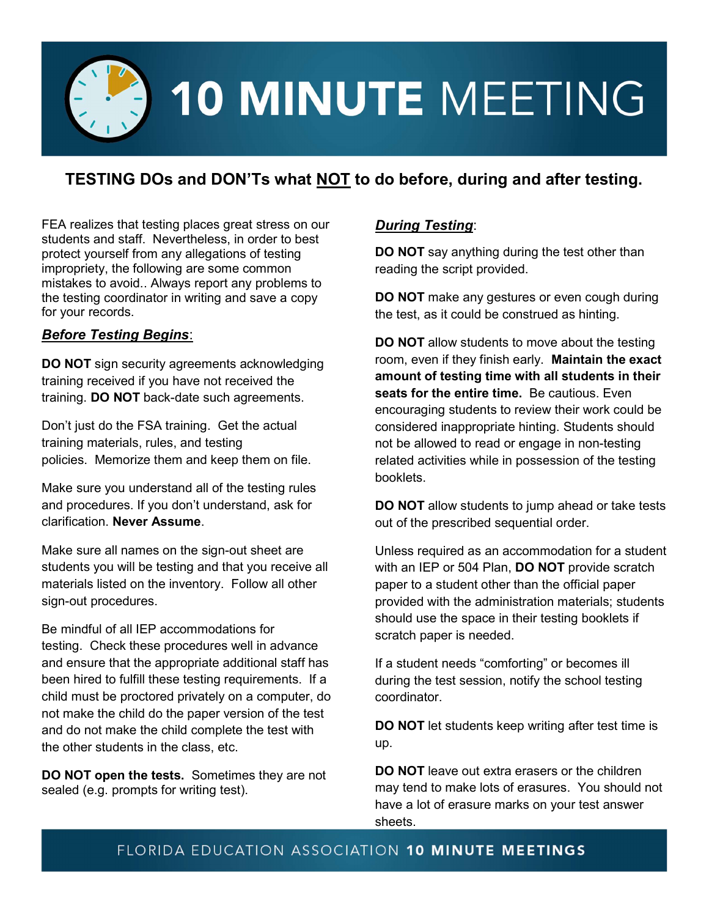

## **TESTING DOs and DON'Ts what NOT to do before, during and after testing.**

FEA realizes that testing places great stress on our students and staff. Nevertheless, in order to best protect yourself from any allegations of testing impropriety, the following are some common mistakes to avoid.. Always report any problems to the testing coordinator in writing and save a copy for your records.

#### *Before Testing Begins*:

**DO NOT** sign security agreements acknowledging training received if you have not received the training. **DO NOT** back-date such agreements.

Don't just do the FSA training. Get the actual training materials, rules, and testing policies. Memorize them and keep them on file.

Make sure you understand all of the testing rules and procedures. If you don't understand, ask for clarification. **Never Assume**.

Make sure all names on the sign-out sheet are students you will be testing and that you receive all materials listed on the inventory. Follow all other sign-out procedures.

Be mindful of all IEP accommodations for testing. Check these procedures well in advance and ensure that the appropriate additional staff has been hired to fulfill these testing requirements. If a child must be proctored privately on a computer, do not make the child do the paper version of the test and do not make the child complete the test with the other students in the class, etc.

**DO NOT open the tests.** Sometimes they are not sealed (e.g. prompts for writing test).

### *During Testing*:

**DO NOT** say anything during the test other than reading the script provided.

**DO NOT** make any gestures or even cough during the test, as it could be construed as hinting.

**DO NOT** allow students to move about the testing room, even if they finish early. **Maintain the exact amount of testing time with all students in their seats for the entire time.** Be cautious. Even encouraging students to review their work could be considered inappropriate hinting. Students should not be allowed to read or engage in non-testing related activities while in possession of the testing booklets.

**DO NOT** allow students to jump ahead or take tests out of the prescribed sequential order.

Unless required as an accommodation for a student with an IEP or 504 Plan, **DO NOT** provide scratch paper to a student other than the official paper provided with the administration materials; students should use the space in their testing booklets if scratch paper is needed.

If a student needs "comforting" or becomes ill during the test session, notify the school testing coordinator.

**DO NOT** let students keep writing after test time is up.

**DO NOT** leave out extra erasers or the children may tend to make lots of erasures. You should not have a lot of erasure marks on your test answer sheets.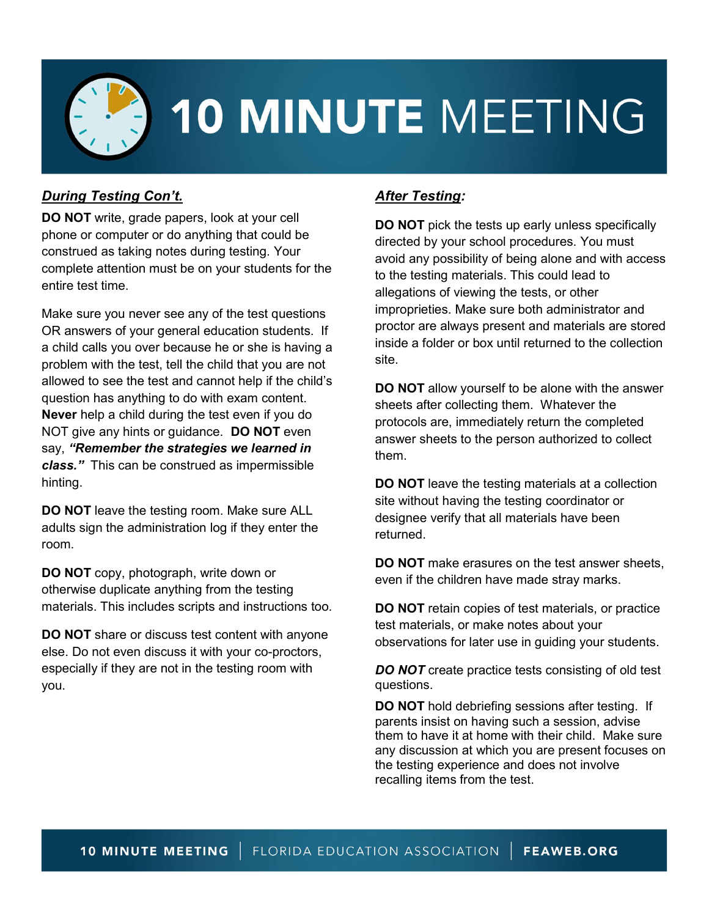

# 10 MINUTE MEETING

### *During Testing Con't.*

**DO NOT** write, grade papers, look at your cell phone or computer or do anything that could be construed as taking notes during testing. Your complete attention must be on your students for the entire test time.

Make sure you never see any of the test questions OR answers of your general education students. If a child calls you over because he or she is having a problem with the test, tell the child that you are not allowed to see the test and cannot help if the child's question has anything to do with exam content. **Never** help a child during the test even if you do NOT give any hints or guidance. **DO NOT** even say, *"Remember the strategies we learned in class."* This can be construed as impermissible hinting.

**DO NOT** leave the testing room. Make sure ALL adults sign the administration log if they enter the room.

**DO NOT** copy, photograph, write down or otherwise duplicate anything from the testing materials. This includes scripts and instructions too.

**DO NOT** share or discuss test content with anyone else. Do not even discuss it with your co-proctors, especially if they are not in the testing room with you.

## *After Testing:*

**DO NOT** pick the tests up early unless specifically directed by your school procedures. You must avoid any possibility of being alone and with access to the testing materials. This could lead to allegations of viewing the tests, or other improprieties. Make sure both administrator and proctor are always present and materials are stored inside a folder or box until returned to the collection site.

**DO NOT** allow yourself to be alone with the answer sheets after collecting them. Whatever the protocols are, immediately return the completed answer sheets to the person authorized to collect them.

**DO NOT** leave the testing materials at a collection site without having the testing coordinator or designee verify that all materials have been returned.

**DO NOT** make erasures on the test answer sheets, even if the children have made stray marks.

**DO NOT** retain copies of test materials, or practice test materials, or make notes about your observations for later use in guiding your students.

**DO NOT** create practice tests consisting of old test questions.

**DO NOT** hold debriefing sessions after testing. If parents insist on having such a session, advise them to have it at home with their child. Make sure any discussion at which you are present focuses on the testing experience and does not involve recalling items from the test.